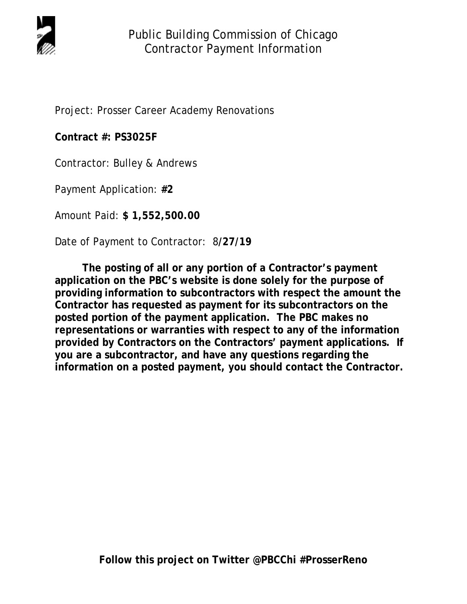

Project: Prosser Career Academy Renovations

**Contract #: PS3025F** 

Contractor: Bulley & Andrews

Payment Application: **#2** 

Amount Paid: **\$ 1,552,500.00** 

Date of Payment to Contractor: 8**/27/19** 

 **The posting of all or any portion of a Contractor's payment application on the PBC's website is done solely for the purpose of providing information to subcontractors with respect the amount the Contractor has requested as payment for its subcontractors on the posted portion of the payment application. The PBC makes no representations or warranties with respect to any of the information provided by Contractors on the Contractors' payment applications. If you are a subcontractor, and have any questions regarding the information on a posted payment, you should contact the Contractor.**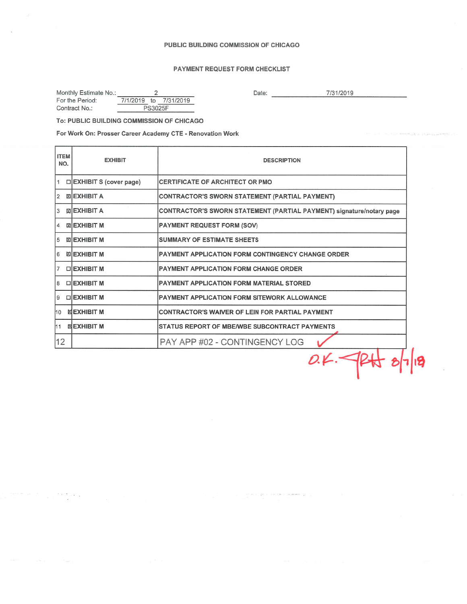## PUBLIC BUILDING COMMISSION OF CHICAGO

# PAYMENT REQUEST FORM CHECKLIST

| Monthly Estimate No.: |                |  |                       |  |  |  |
|-----------------------|----------------|--|-----------------------|--|--|--|
| For the Period:       |                |  | 7/1/2019 to 7/31/2019 |  |  |  |
| Contract No.:         | <b>PS3025F</b> |  |                       |  |  |  |

Date:  $\qquad \qquad$ 7/31/2019

## To: PUBLIC BUILDING COMMISSION OF CHICAGO

 $\mathbb{R}^2$  .

For Work On: Prosser Career Academy CTE - Renovation Work

| <b>ITEM</b><br>NO. | <b>EXHIBIT</b>                    | <b>DESCRIPTION</b>                                                   |  |  |  |  |  |
|--------------------|-----------------------------------|----------------------------------------------------------------------|--|--|--|--|--|
| 11                 | □ EXHIBIT S (cover page)          | CERTIFICATE OF ARCHITECT OR PMO                                      |  |  |  |  |  |
| <u>2</u>           | <b>EXHIBIT A</b>                  | <b>CONTRACTOR'S SWORN STATEMENT (PARTIAL PAYMENT)</b>                |  |  |  |  |  |
| 3                  | <b>MEXHIBIT A</b>                 | CONTRACTOR'S SWORN STATEMENT (PARTIAL PAYMENT) signature/notary page |  |  |  |  |  |
| $\vert$ 4          | ⊠ EXHIBIT M                       | <b>PAYMENT REQUEST FORM (SOV)</b>                                    |  |  |  |  |  |
| 5                  | <b>EXHIBIT M</b>                  | <b>SUMMARY OF ESTIMATE SHEETS</b>                                    |  |  |  |  |  |
| 6                  | <b>EXHIBIT M</b>                  | <b>PAYMENT APPLICATION FORM CONTINGENCY CHANGE ORDER</b>             |  |  |  |  |  |
| <sup>7</sup>       | □IEXHIBIT M                       | <b>PAYMENT APPLICATION FORM CHANGE ORDER</b>                         |  |  |  |  |  |
| 8                  | <b>DIEXHIBIT M</b>                | <b>PAYMENT APPLICATION FORM MATERIAL STORED</b>                      |  |  |  |  |  |
| 9                  | □EXHIBIT M                        | <b>PAYMENT APPLICATION FORM SITEWORK ALLOWANCE</b>                   |  |  |  |  |  |
| 10                 | <b>MEXHIBIT M</b>                 | <b>CONTRACTOR'S WAIVER OF LEIN FOR PARTIAL PAYMENT</b>               |  |  |  |  |  |
| 11                 | <b><i><b>ISLEXHIBIT M</b></i></b> | <b>STATUS REPORT OF MBE/WBE SUBCONTRACT PAYMENTS</b>                 |  |  |  |  |  |
| $ 12\rangle$       |                                   | PAY APP #02 - CONTINGENCY LOG                                        |  |  |  |  |  |
|                    |                                   |                                                                      |  |  |  |  |  |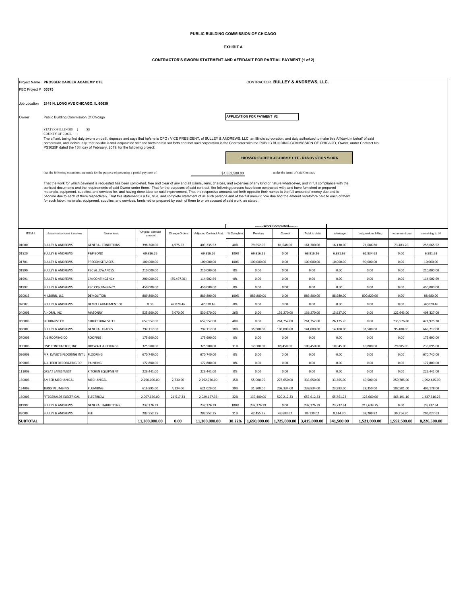### **PUBLIC BUILDING COMMISSION OF CHICAGO**

#### **EXHIBIT A**

#### **CONTRACTOR'S SWORN STATEMENT AND AFFIDAVIT FOR PARTIAL PAYMENT (1 of 2)**

|                     |                                                                                                                                                                                                                                                                                                 | CONTRACTOR BULLEY & ANDREWS, LLC.<br>Project Name PROSSER CAREER ACADEMY CTE                                                                                                                                                                                                                                                                                                                |                   |               |                       |                |                                   |                                   |               |            |                      |                |                   |
|---------------------|-------------------------------------------------------------------------------------------------------------------------------------------------------------------------------------------------------------------------------------------------------------------------------------------------|---------------------------------------------------------------------------------------------------------------------------------------------------------------------------------------------------------------------------------------------------------------------------------------------------------------------------------------------------------------------------------------------|-------------------|---------------|-----------------------|----------------|-----------------------------------|-----------------------------------|---------------|------------|----------------------|----------------|-------------------|
| PBC Project # 05375 |                                                                                                                                                                                                                                                                                                 |                                                                                                                                                                                                                                                                                                                                                                                             |                   |               |                       |                |                                   |                                   |               |            |                      |                |                   |
|                     |                                                                                                                                                                                                                                                                                                 |                                                                                                                                                                                                                                                                                                                                                                                             |                   |               |                       |                |                                   |                                   |               |            |                      |                |                   |
| Job Location        | 2148 N. LONG AVE CHICAGO, IL 60639                                                                                                                                                                                                                                                              |                                                                                                                                                                                                                                                                                                                                                                                             |                   |               |                       |                |                                   |                                   |               |            |                      |                |                   |
| Owner               | Public Building Commission Of Chicago                                                                                                                                                                                                                                                           |                                                                                                                                                                                                                                                                                                                                                                                             |                   |               |                       |                | <b>APPLICATION FOR PAYMENT #2</b> |                                   |               |            |                      |                |                   |
|                     |                                                                                                                                                                                                                                                                                                 |                                                                                                                                                                                                                                                                                                                                                                                             |                   |               |                       |                |                                   |                                   |               |            |                      |                |                   |
|                     | STATE OF ILLINOIS }<br>SS<br>COUNTY OF COOK                                                                                                                                                                                                                                                     |                                                                                                                                                                                                                                                                                                                                                                                             |                   |               |                       |                |                                   |                                   |               |            |                      |                |                   |
|                     |                                                                                                                                                                                                                                                                                                 | The affiant, being first duly sworn on oath, deposes and says that he/she is CFO / VICE PRESIDENT, of BULLEY & ANDREWS, LLC, an Illinois corporation, and duly authorized to make this Affidavit in behalf of said                                                                                                                                                                          |                   |               |                       |                |                                   |                                   |               |            |                      |                |                   |
|                     | corporation, and individually; that he/she is well acquainted with the facts herein set forth and that said corporation is the Contractor with the PUBLIC BUILDING COMMISSION OF CHICAGO, Owner, under Contract No.<br>PS3025F dated the 13th day of February, 2019, for the following project: |                                                                                                                                                                                                                                                                                                                                                                                             |                   |               |                       |                |                                   |                                   |               |            |                      |                |                   |
|                     | PROSSER CAREER ACADEMY CTE - RENOVATION WORK                                                                                                                                                                                                                                                    |                                                                                                                                                                                                                                                                                                                                                                                             |                   |               |                       |                |                                   |                                   |               |            |                      |                |                   |
|                     |                                                                                                                                                                                                                                                                                                 |                                                                                                                                                                                                                                                                                                                                                                                             |                   |               |                       |                |                                   |                                   |               |            |                      |                |                   |
|                     |                                                                                                                                                                                                                                                                                                 | that the following statements are made for the purpose of procuring a partial payment of                                                                                                                                                                                                                                                                                                    |                   |               |                       | \$1,552,500.00 |                                   | under the terms of said Contract; |               |            |                      |                |                   |
|                     | That the work for which payment is requested has been completed, free and clear of any and all claims, liens, charges, and expenses of any kind or nature whatsoever, and in full compliance with the                                                                                           |                                                                                                                                                                                                                                                                                                                                                                                             |                   |               |                       |                |                                   |                                   |               |            |                      |                |                   |
|                     |                                                                                                                                                                                                                                                                                                 | contract documents and the requirements of said Owner under them. That for the purposes of said contract, the following persons have been contracted with, and have furnished or prepared<br>materials, equipment, supplies, and services for, and having done labor on said improvement. That the respective amounts set forth opposite their names is the full amount of money due and to |                   |               |                       |                |                                   |                                   |               |            |                      |                |                   |
|                     |                                                                                                                                                                                                                                                                                                 | become due to each of them respectively. That this statement is a full, true, and complete statement of all such persons and of the full amount now due and the amount heretofore paid to each of them<br>for such labor, materials, equipment, supplies, and services, furnished or prepared by each of them to or on account of said work, as stated:                                     |                   |               |                       |                |                                   |                                   |               |            |                      |                |                   |
|                     |                                                                                                                                                                                                                                                                                                 |                                                                                                                                                                                                                                                                                                                                                                                             |                   |               |                       |                |                                   |                                   |               |            |                      |                |                   |
|                     |                                                                                                                                                                                                                                                                                                 |                                                                                                                                                                                                                                                                                                                                                                                             |                   |               |                       |                |                                   |                                   |               |            |                      |                |                   |
|                     |                                                                                                                                                                                                                                                                                                 |                                                                                                                                                                                                                                                                                                                                                                                             |                   |               |                       |                |                                   |                                   |               |            |                      |                |                   |
| ITEM#               | Subcontractor Name & Address                                                                                                                                                                                                                                                                    | Type of Work                                                                                                                                                                                                                                                                                                                                                                                | Original contract | Change Orders | Adjusted Contract Amt | % Complete     | Previous                          | -Work Completed--<br>Current      | Total to date | retainage  | net previous billing | net amount due | remaining to bill |
|                     |                                                                                                                                                                                                                                                                                                 |                                                                                                                                                                                                                                                                                                                                                                                             | amount            |               |                       |                |                                   |                                   |               |            |                      |                |                   |
| 01000               | <b>BULLEY &amp; ANDREWS</b>                                                                                                                                                                                                                                                                     | <b>GENERAL CONDITIONS</b>                                                                                                                                                                                                                                                                                                                                                                   | 398,260.00        | 4,975.52      | 403,235.52            | 40%            | 79,652.00                         | 81,648.00                         | 161,300.00    | 16,130.00  | 71,686.80            | 73,483.20      | 258,065.52        |
| 01520               | <b>BULLEY &amp; ANDREWS</b>                                                                                                                                                                                                                                                                     | <b>P&amp;P BOND</b>                                                                                                                                                                                                                                                                                                                                                                         | 69,816.26         |               | 69,816.26             | 100%           | 69,816.26                         | 0.00                              | 69,816.26     | 6,981.63   | 62,834.63            | 0.00           | 6,981.63          |
| 01701               | <b>BULLEY &amp; ANDREWS</b>                                                                                                                                                                                                                                                                     | PRECON SERVICES                                                                                                                                                                                                                                                                                                                                                                             | 100,000.00        |               | 100,000.00            | 100%           | 100,000.00                        | 0.00                              | 100,000.00    | 10,000.00  | 90,000.00            | 0.00           | 10,000.00         |
| 01990               | <b>BULLEY &amp; ANDREWS</b>                                                                                                                                                                                                                                                                     | PBC ALLOWANCES                                                                                                                                                                                                                                                                                                                                                                              | 210,000.00        |               | 210,000.00            | 0%             | 0.00                              | 0.00                              | 0.00          | 0.00       | 0.00                 | 0.00           | 210,000.00        |
| 01991               | <b>BULLEY &amp; ANDREWS</b>                                                                                                                                                                                                                                                                     | <b>M CONTINGENCY</b>                                                                                                                                                                                                                                                                                                                                                                        | 200,000.00        | (85, 497.31)  | 114,502.69            | 0%             | 0.00                              | 0.00                              | 0.00          | 0.00       | 0.00                 | 0.00           | 114,502.69        |
| 01992               | <b>BULLEY &amp; ANDREWS</b>                                                                                                                                                                                                                                                                     | PBC CONTINGENCY                                                                                                                                                                                                                                                                                                                                                                             | 450,000.00        |               | 450,000.00            | 0%             | 0.00                              | 0.00                              | 0.00          | 0.00       | 0.00                 | 0.00           | 450,000.00        |
| 02001S              | MILBURN, LLC                                                                                                                                                                                                                                                                                    | DEMOLITION                                                                                                                                                                                                                                                                                                                                                                                  | 889,800.00        |               | 889,800.00            | 100%           | 889,800.00                        | 0.00                              | 889,800.00    | 88,980.00  | 800,820.00           | 0.00           | 88,980.00         |
| 02002               | <b>BULLEY &amp; ANDREWS</b>                                                                                                                                                                                                                                                                     | DEMO / ABATEMENT OT                                                                                                                                                                                                                                                                                                                                                                         | 0.00              | 47,070.46     | 47,070.46             | 0%             | 0.00                              | 0.00                              | 0.00          | 0.00       | 0.00                 | 0.00           | 47,070.46         |
| 04000S              | A HORN, INC                                                                                                                                                                                                                                                                                     | MASONRY                                                                                                                                                                                                                                                                                                                                                                                     | 525,900.00        | 5,070.00      | 530,970.00            | 26%            | 0.00                              | 136,270.00                        | 136,270.00    | 13,627.00  | 0.00                 | 122,643.00     | 408,327.00        |
| 05000S              | <b>SG KRAUSS CO</b>                                                                                                                                                                                                                                                                             | STRUCTURAL STEEL                                                                                                                                                                                                                                                                                                                                                                            | 657,552.00        |               | 657,552.00            | 40%            | 0.00                              | 261,752.00                        | 261,752.00    | 26,175.20  | 0.00                 | 235,576.80     | 421,975.20        |
| 06000               | <b>BULLEY &amp; ANDREWS</b>                                                                                                                                                                                                                                                                     | <b>GENERAL TRADES</b>                                                                                                                                                                                                                                                                                                                                                                       | 792,117.00        |               | 792,117.00            | 18%            | 35,000.00                         | 106,000.00                        | 141,000.00    | 14,100.00  | 31,500.00            | 95,400.00      | 665,217.00        |
| 07000S              | A-1 ROOFING CO                                                                                                                                                                                                                                                                                  | ROOFING                                                                                                                                                                                                                                                                                                                                                                                     | 175,600.00        |               | 175,600.00            | 0%             | 0.00                              | 0.00                              | 0.00          | 0.00       | 0.00                 | 0.00           | 175,600.00        |
| 09000S              | H&P CONTRACTOR, INC                                                                                                                                                                                                                                                                             | DRYWALL & CEILINGS                                                                                                                                                                                                                                                                                                                                                                          | 325,500.00        |               | 325,500.00            | 31%            | 12,000.00                         | 88,450.00                         | 100,450.00    | 10,045.00  | 10,800.00            | 79,605.00      | 235,095.00        |
| 09600S              | MR. DAVID'S FLOORING INT'L FLOORING                                                                                                                                                                                                                                                             |                                                                                                                                                                                                                                                                                                                                                                                             | 670,740.00        |               | 670,740.00            | 0%             | 0.00                              | 0.00                              | 0.00          | 0.00       | 0.00                 | 0.00           | 670,740.00        |
| 09900S              | ALL-TECH DECORATING CO                                                                                                                                                                                                                                                                          | PAINTING                                                                                                                                                                                                                                                                                                                                                                                    | 172,800.00        |               | 172,800.00            | 0%             | 0.00                              | 0.00                              | 0.00          | 0.00       | 0.00                 | 0.00           | 172,800.00        |
| 11100S              | <b>GREAT LAKES WEST</b>                                                                                                                                                                                                                                                                         | KITCHEN EQUIPMENT                                                                                                                                                                                                                                                                                                                                                                           | 226,441.00        |               | 226.441.00            | 0%             | 0.00                              | 0.00                              | 0.00          | 0.00       | 0.00                 | 0.00           | 226,441.00        |
| 15000S              | AMBER MECHANICAL                                                                                                                                                                                                                                                                                | MECHANICAL                                                                                                                                                                                                                                                                                                                                                                                  | 2,290,000.00      | 2,730.00      | 2,292,730.00          | 15%            | 55,000.00                         | 278,650.00                        | 333,650.00    | 33,365.00  | 49,500.00            | 250,785.00     | 1,992,445.00      |
| 15400S              | TERRY PLUMBING                                                                                                                                                                                                                                                                                  | PLUMBING                                                                                                                                                                                                                                                                                                                                                                                    | 616,895.00        | 4,134.00      | 621,029.00            | 39%            | 31,500.00                         | 208,334.00                        | 239,834.00    | 23,983.00  | 28,350.00            | 187,501.00     | 405,178.00        |
| 16000S              | FITZGERALDS ELECTRICAL                                                                                                                                                                                                                                                                          | ELECTRICAL                                                                                                                                                                                                                                                                                                                                                                                  | 2,007,650.00      | 21,517.33     | 2,029,167.33          | 32%            | 137,400.00                        | 520,212.33                        | 657,612.33    | 65,761.23  | 123,660.00           | 468,191.10     | 1,437,316.23      |
| 81999               | <b>BULLEY &amp; ANDREWS</b>                                                                                                                                                                                                                                                                     | GENERAL LIABILITY INS.                                                                                                                                                                                                                                                                                                                                                                      | 237,376.39        |               | 237,376.39            | 100%           | 237,376.39                        | 0.00                              | 237,376.39    | 23,737.64  | 213,638.75           | 0.00           | 23,737.64         |
| 83000               | <b>BULLEY &amp; ANDREWS</b>                                                                                                                                                                                                                                                                     | FEE                                                                                                                                                                                                                                                                                                                                                                                         | 283,552.35        |               | 283,552.35            | 31%            | 42,455.35                         | 43,683.67                         | 86,139.02     | 8,614.30   | 38,209.82            | 39,314.90      | 206,027.63        |
| <b>SUBTOTAL</b>     |                                                                                                                                                                                                                                                                                                 |                                                                                                                                                                                                                                                                                                                                                                                             | 11,300,000.00     | 0.00          | 11,300,000.00         | 30.22%         | 1,690,000.00                      | 1,725,000.00                      | 3,415,000.00  | 341,500.00 | 1,521,000.00         | 1,552,500.00   | 8,226,500.00      |